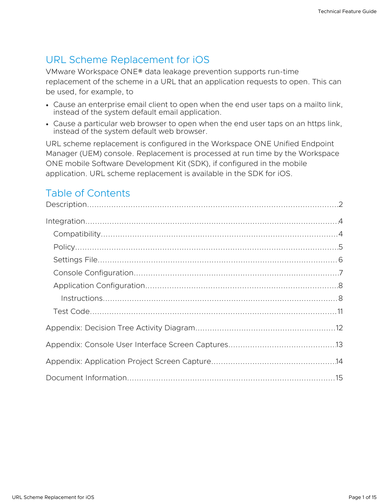# URL Scheme Replacement for iOS

VMware Workspace ONE® data leakage prevention supports run-time replacement of the scheme in a URL that an application requests to open. This can be used, for example, to

- Cause an enterprise email client to open when the end user taps on a mailto link, instead of the system default email application.
- Cause a particular web browser to open when the end user taps on an https link, instead of the system default web browser.

URL scheme replacement is configured in the Workspace ONE Unified Endpoint Manager (UEM) console. Replacement is processed at run time by the Workspace ONE mobile Software Development Kit (SDK), if configured in the mobile application. URL scheme replacement is available in the SDK for iOS.

# Table of Contents

| Instructions. 288 |  |
|-------------------|--|
|                   |  |
|                   |  |
|                   |  |
|                   |  |
|                   |  |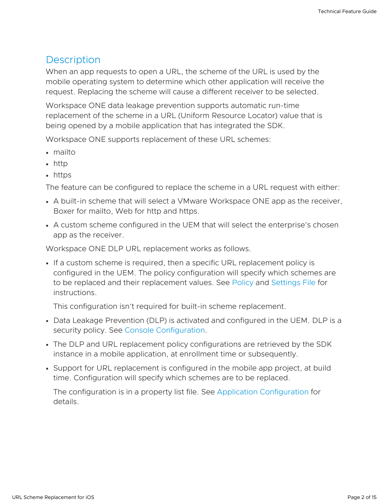### <span id="page-1-0"></span>**Description**

When an app requests to open a URL, the scheme of the URL is used by the mobile operating system to determine which other application will receive the request. Replacing the scheme will cause a different receiver to be selected.

Workspace ONE data leakage prevention supports automatic run-time replacement of the scheme in a URL (Uniform Resource Locator) value that is being opened by a mobile application that has integrated the SDK.

Workspace ONE supports replacement of these URL schemes:

- mailto
- http
- https

The feature can be configured to replace the scheme in a URL request with either:

- A built-in scheme that will select a VMware Workspace ONE app as the receiver, Boxer for mailto, Web for http and https.
- A custom scheme configured in the UEM that will select the enterprise's chosen app as the receiver.

Workspace ONE DLP URL replacement works as follows.

If a custom scheme is required, then a specific URL replacement policy is configured in the UEM. The policy configuration will specify which schemes are to be replaced and their replacement values. See [Policy](#page-4-0) and [Settings](#page-5-0) File for instructions.

This configuration isn't required for built-in scheme replacement.

- Data Leakage Prevention (DLP) is activated and configured in the UEM. DLP is a security policy. See Console [Configuration](#page-6-0).
- The DLP and URL replacement policy configurations are retrieved by the SDK instance in a mobile application, at enrollment time or subsequently.
- Support for URL replacement is configured in the mobile app project, at build time. Configuration will specify which schemes are to be replaced.

The configuration is in a property list file. See Application [Configuration](#page-7-0) for details.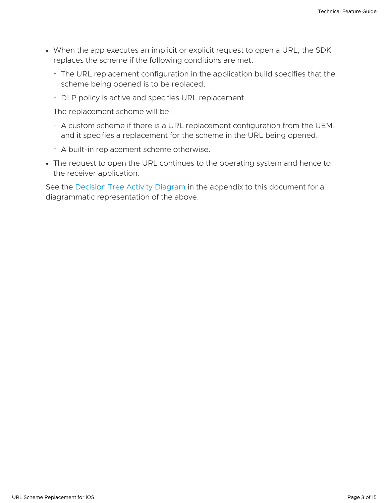- When the app executes an implicit or explicit request to open a URL, the SDK replaces the scheme if the following conditions are met.
	- The URL replacement configuration in the application build specifies that the scheme being opened is to be replaced.
	- DLP policy is active and specifies URL replacement.

The replacement scheme will be

- A custom scheme if there is a URL replacement configuration from the UEM, and it specifies a replacement for the scheme in the URL being opened.
- A built-in replacement scheme otherwise.
- The request to open the URL continues to the operating system and hence to the receiver application.

See the [Decision](#page-11-0) Tree Activity Diagram in the appendix to this document for a diagrammatic representation of the above.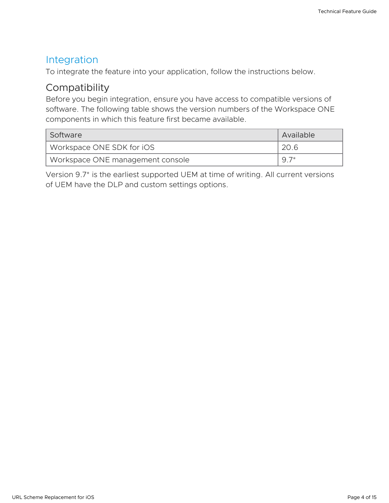#### <span id="page-3-0"></span>Integration

To integrate the feature into your application, follow the instructions below.

### <span id="page-3-1"></span>**Compatibility**

Before you begin integration, ensure you have access to compatible versions of software. The following table shows the version numbers of the Workspace ONE components in which this feature first became available.

| Software                         | Available |
|----------------------------------|-----------|
| Workspace ONE SDK for iOS        | 20.6      |
| Workspace ONE management console | $9.7*$    |

Version 9.7\* is the earliest supported UEM at time of writing. All current versions of UEM have the DLP and custom settings options.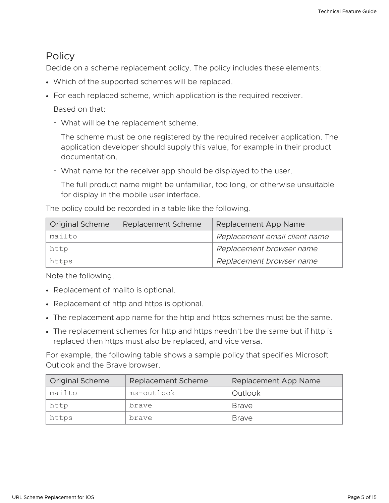#### <span id="page-4-0"></span>**Policy**

Decide on a scheme replacement policy. The policy includes these elements:

- Which of the supported schemes will be replaced.
- For each replaced scheme, which application is the required receiver.

Based on that:

What will be the replacement scheme. -

The scheme must be one registered by the required receiver application. The application developer should supply this value, for example in their product documentation.

What name for the receiver app should be displayed to the user. -

The full product name might be unfamiliar, too long, or otherwise unsuitable for display in the mobile user interface.

The policy could be recorded in a table like the following.

| <b>Original Scheme</b> | Replacement Scheme | Replacement App Name          |
|------------------------|--------------------|-------------------------------|
| mailto                 |                    | Replacement email client name |
| http                   |                    | Replacement browser name      |
| https                  |                    | Replacement browser name      |

Note the following.

- Replacement of mailto is optional.
- Replacement of http and https is optional.
- The replacement app name for the http and https schemes must be the same.
- The replacement schemes for http and https needn't be the same but if http is replaced then https must also be replaced, and vice versa.

For example, the following table shows a sample policy that specifies Microsoft Outlook and the Brave browser.

| Original Scheme | <b>Replacement Scheme</b> | Replacement App Name |  |
|-----------------|---------------------------|----------------------|--|
| mailto          | ms-outlook                | Outlook              |  |
| http            | brave                     | <b>Brave</b>         |  |
| https           | brave                     | <b>Brave</b>         |  |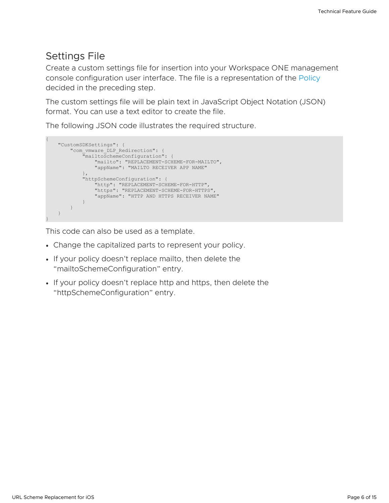### <span id="page-5-0"></span>Settings File

Create a custom settings file for insertion into your Workspace ONE management console configuration user interface. The file is a representation of the [Policy](#page-4-0) decided in the preceding step.

The custom settings file will be plain text in JavaScript Object Notation (JSON) format. You can use a text editor to create the file.

The following JSON code illustrates the required structure.

```
{
   "CustomSDKSettings": {
       "com_vmware_DLP_Redirection": {
            "mailtoSchemeConfiguration": {
               "mailto": "REPLACEMENT-SCHEME-FOR-MAILTO",
                "appName": "MAILTO RECEIVER APP NAME"
            },
           "httpSchemeConfiguration": {
                "http": "REPLACEMENT-SCHEME-FOR-HTTP",
               "https": "REPLACEMENT-SCHEME-FOR-HTTPS",
               "appName": "HTTP AND HTTPS RECEIVER NAME"
           }
       }
   }
}
```
This code can also be used as a template.

- Change the capitalized parts to represent your policy.
- If your policy doesn't replace mailto, then delete the "mailtoSchemeConfiguration" entry.
- If your policy doesn't replace http and https, then delete the "httpSchemeConfiguration" entry.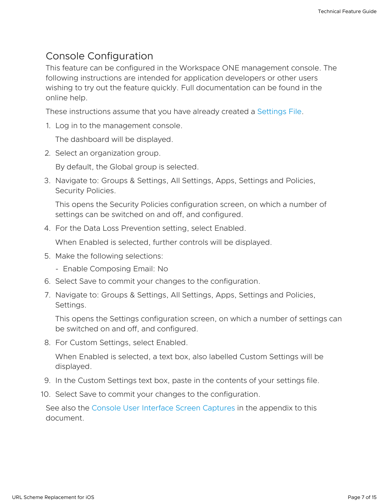#### <span id="page-6-0"></span>Console Configuration

This feature can be configured in the Workspace ONE management console. The following instructions are intended for application developers or other users wishing to try out the feature quickly. Full documentation can be found in the online help.

These instructions assume that you have already created a [Settings](#page-5-0) File.

1. Log in to the management console.

The dashboard will be displayed.

2. Select an organization group.

By default, the Global group is selected.

3. Navigate to: Groups & Settings, All Settings, Apps, Settings and Policies, Security Policies.

This opens the Security Policies configuration screen, on which a number of settings can be switched on and off, and configured.

4. For the Data Loss Prevention setting, select Enabled.

When Enabled is selected, further controls will be displayed.

- 5. Make the following selections:
	- Enable Composing Email: No
- 6. Select Save to commit your changes to the configuration.
- 7. Navigate to: Groups & Settings, All Settings, Apps, Settings and Policies, Settings.

This opens the Settings configuration screen, on which a number of settings can be switched on and off, and configured.

8. For Custom Settings, select Enabled.

When Enabled is selected, a text box, also labelled Custom Settings will be displayed.

- 9. In the Custom Settings text box, paste in the contents of your settings file.
- 10. Select Save to commit your changes to the configuration.

See also the Console User Interface Screen [Captures](#page-12-0) in the appendix to this document.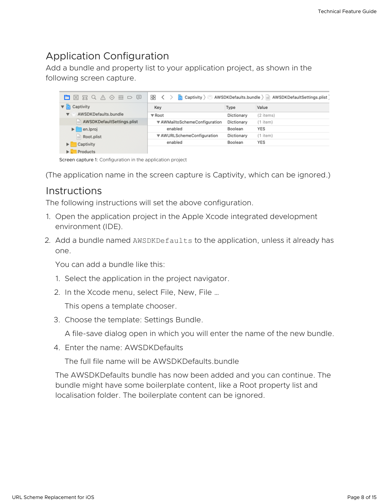### <span id="page-7-0"></span>Application Configuration

Add a bundle and property list to your application project, as shown in the following screen capture.

| 噩<br>$\Box$<br>m.<br>図出のVの        | 嘂<br>AWSDKDefaults.bundle ) a AWSDKDefaultSettings.plist<br>Captivity $\rangle$ |            |           |
|-----------------------------------|---------------------------------------------------------------------------------|------------|-----------|
| Captivity                         | Key                                                                             | Type       | Value     |
| AWSDKDefaults.bundle              | ▼ Root                                                                          | Dictionary | (2 items) |
| AWSDKDefaultSettings.plist        | ▼ AWMailtoSchemeConfiguration                                                   | Dictionary | (1 item)  |
| en.lproj                          | enabled                                                                         | Boolean    | YES       |
| Root.plist<br>倫                   | ▼ AWURLSchemeConfiguration                                                      | Dictionary | (1 item)  |
| Captivity<br>▶                    | enabled                                                                         | Boolean    | YES       |
| <b>Droducte</b><br><b>Balling</b> |                                                                                 |            |           |

Screen capture 1: Configuration in the application project

(The application name in the screen capture is Captivity, which can be ignored.)

#### <span id="page-7-1"></span>**Instructions**

The following instructions will set the above configuration.

- 1. Open the application project in the Apple Xcode integrated development environment (IDE).
- 2. Add a bundle named AWSDKDefaults to the application, unless it already has one.

You can add a bundle like this:

- 1. Select the application in the project navigator.
- 2. In the Xcode menu, select File, New, File …

This opens a template chooser.

3. Choose the template: Settings Bundle.

A file-save dialog open in which you will enter the name of the new bundle.

4. Enter the name: AWSDKDefaults

The full file name will be AWSDKDefaults.bundle

The AWSDKDefaults bundle has now been added and you can continue. The bundle might have some boilerplate content, like a Root property list and localisation folder. The boilerplate content can be ignored.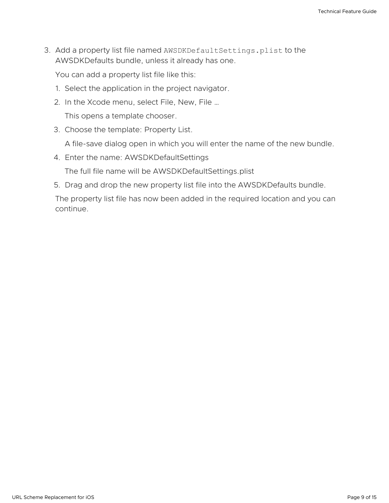3. Add a property list file named AWSDKDefaultSettings.plist to the AWSDKDefaults bundle, unless it already has one.

You can add a property list file like this:

- 1. Select the application in the project navigator.
- 2. In the Xcode menu, select File, New, File …

This opens a template chooser.

3. Choose the template: Property List.

A file-save dialog open in which you will enter the name of the new bundle.

- 4. Enter the name: AWSDKDefaultSettings The full file name will be AWSDKDefaultSettings.plist
- 5. Drag and drop the new property list file into the AWSDKDefaults bundle.

The property list file has now been added in the required location and you can continue.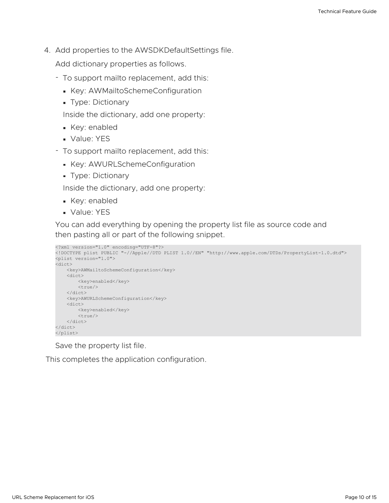4. Add properties to the AWSDKDefaultSettings file.

Add dictionary properties as follows.

- To support mailto replacement, add this:
	- Key: AWMailtoSchemeConfiguration
	- **Type: Dictionary**

Inside the dictionary, add one property:

- Key: enabled
- Value: YES
- To support mailto replacement, add this:
	- **Key: AWURLSchemeConfiguration**
	- **Type: Dictionary**

Inside the dictionary, add one property:

- Key: enabled
- Value: YES

You can add everything by opening the property list file as source code and then pasting all or part of the following snippet.

```
<?xml	version="1.0"	encoding="UTF-8"?>
<!DOCTYPE	plist	PUBLIC	"-//Apple//DTD	PLIST	1.0//EN"	"http://www.apple.com/DTDs/PropertyList-1.0.dtd">
<plist	version="1.0">
<dict>
   				<key>AWMailtoSchemeConfiguration</key>
   				<dict>
        <key>enabled</key>
        								<true/>
    				</dict>
    				<key>AWURLSchemeConfiguration</key>
    				<dict>
        <key>enabled</key>
        								<true/>
   				</dict>
</dict>
</plist>
```
Save the property list file.

This completes the application configuration.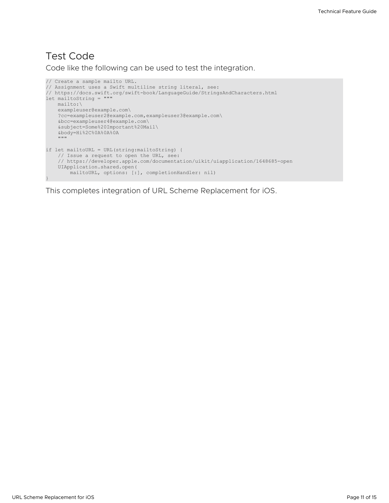#### <span id="page-10-0"></span>Test Code

Code like the following can be used to test the integration.

```
// Create a sample mailto URL.
// Assignment uses a Swift multiline string literal, see:
// https://docs.swift.org/swift-book/LanguageGuide/StringsAndCharacters.html
let mailtoString = """
   mailto:\
   exampleuser@example.com\
   ?cc=exampleuser2@example.com,exampleuser3@example.com\
   &bcc=exampleuser4@example.com\
    &subject=Some%20Important%20Mail\
   &body=Hi%2C%0A%0A%0A
    ^{\mathrm{m}} ""
if let mailtoURL = URL(string:mailtoString) {
    // Issue a request to open the URL, see:
    // https://developer.apple.com/documentation/uikit/uiapplication/1648685-open
   UIApplication.shared.open(
       mailtoURL, options: [:], completionHandler: nil)
}
```
This completes integration of URL Scheme Replacement for iOS.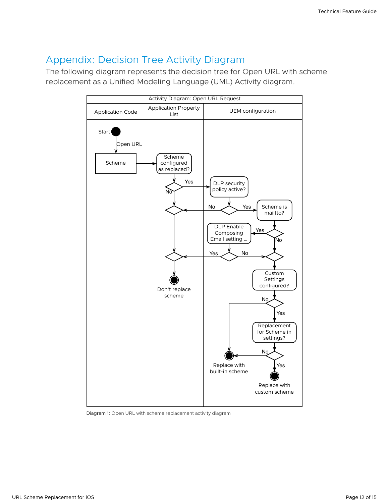### <span id="page-11-0"></span>Appendix: Decision Tree Activity Diagram

The following diagram represents the decision tree for Open URL with scheme replacement as a Unified Modeling Language (UML) Activity diagram.



Diagram 1: Open URL with scheme replacement activity diagram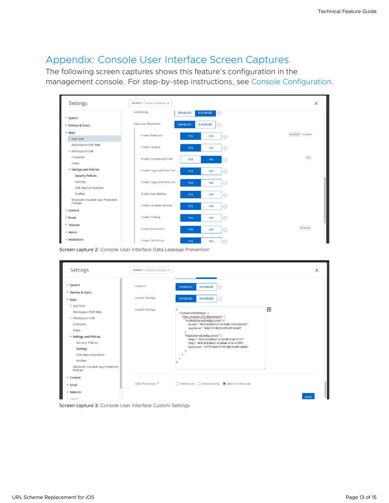### <span id="page-12-0"></span>Appendix: Console User Interface Screen Captures

The following screen captures shows this feature's configuration in the management console. For step-by-step instructions, see Console [Configuration.](#page-6-0)

| Settings                                     | Global / $\qquad$ $\qquad$ $\vee$                   |                              |                 | $\times$ |
|----------------------------------------------|-----------------------------------------------------|------------------------------|-----------------|----------|
|                                              | Geofencing<br><b>ENABLED</b>                        | <b>DISABLED</b><br>$\odot$   |                 |          |
| > System                                     |                                                     |                              |                 |          |
| > Devices & Users                            | Data Loss Prevention<br><b>ENABLED</b>              | <b>DISABLED</b><br>$\bigcap$ |                 |          |
| $~\sim$ Apps                                 | Enable Bluetooth                                    |                              | Android +1 more |          |
| > App Scan                                   | <b>YES</b>                                          | <b>NO</b><br>$\odot$         |                 |          |
| Workspace ONE Web                            | Enable Camera<br><b>YES</b>                         | <b>NO</b><br>(i)             |                 |          |
| > Workspace ONE                              |                                                     |                              |                 |          |
| Container                                    | <b>Enable Composing Email</b><br>YES                | <b>NO</b><br>$\odot$         | IOS             |          |
| Inbox                                        |                                                     |                              |                 |          |
| v Settings and Policies                      | Enable Copy and Paste Out<br><b>YES</b>             | <b>NO</b><br>(i)             |                 |          |
| <b>Security Policies</b>                     |                                                     |                              |                 |          |
| Settings                                     | Enable Copy and Paste Into<br><b>YES</b>            | <b>NO</b><br>(i)             |                 |          |
| SDK App Compliance                           |                                                     |                              |                 |          |
| Profiles                                     | Enable Data Backup<br><b>YES</b>                    | <b>NO</b><br>(i)             |                 |          |
| Microsoft Intune® App Protection<br>Policies |                                                     |                              |                 |          |
| > Content                                    | <b>Enable Location Services</b><br>YES              | <b>NO</b><br>(i)             |                 |          |
| > Email                                      | <b>Enable Printing</b><br><b>YES</b>                | <b>NO</b><br>$\circ$         |                 |          |
| > Telecom                                    |                                                     |                              |                 |          |
| > Admin                                      | Enable Screenshot<br><b>YES</b>                     | <b>NO</b><br>$\circ$         | Android         |          |
|                                              |                                                     |                              |                 |          |
| > Installation                               | Enable Third Party<br><b>YES</b><br>and the control | <b>NO</b><br>$\bigcirc$      |                 |          |

Screen capture 2: Console User Interface Data Leakage Prevention

| Settings                                                                       | Global / v             |                                                                                                                 | $\times$ |
|--------------------------------------------------------------------------------|------------------------|-----------------------------------------------------------------------------------------------------------------|----------|
| > System                                                                       | Analytics              | <b>ENABLED</b><br><b>DISABLED</b><br>. .                                                                        |          |
| > Devices & Users<br>$~\times$ Apps                                            | <b>Custom Settings</b> | <b>ENABLED</b><br><b>DISABLED</b><br>(i)                                                                        |          |
| > App Scan<br>Workspace ONE Web                                                | <b>Custom Settings</b> | "CustomSDKSettings": {                                                                                          | ⊕        |
| > Workspace ONE<br>Container                                                   |                        | "com_vmware_DLP_Redirection": {<br>"mailtoSchemeConfiguration": {<br>"mailto": "REPLACEMENT-SCHEME-FOR-MAILTO", |          |
| Inbox                                                                          |                        | "appName": "MAILTO RECEIVER APP NAME"<br>},<br>"httpSchemeConfiguration": {                                     |          |
| v Settings and Policies<br><b>Security Policies</b>                            |                        | "https": "REPLACEMENT-SCHEME-FOR-HTTP",<br>"http": "REPLACEMENT-SCHEME-FOR-HTTPS",                              |          |
| Settings<br>SDK App Compliance                                                 |                        | "appName": "HTTP AND HTTPS RECEIVER NAME"                                                                       |          |
| Profiles<br>Microsoft Intune® App Protection                                   |                        |                                                                                                                 |          |
| Policies<br>> Content                                                          |                        |                                                                                                                 |          |
| > Email                                                                        | Child Permission *     | ◯ Inherit only ◯ Override only ● Inherit or Override                                                            |          |
| > Telecom                                                                      |                        |                                                                                                                 | SAVE     |
| <b>C.</b> Andmalin<br>Screen capture 3: Console User Interface Custom Settings |                        |                                                                                                                 |          |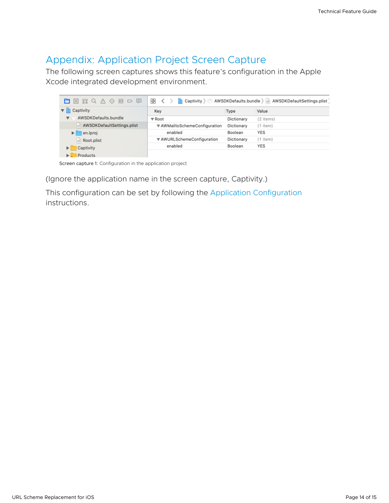## <span id="page-13-0"></span>Appendix: Application Project Screen Capture

The following screen captures shows this feature's configuration in the Apple Xcode integrated development environment.

| 亜 ロ 回<br>自図品のVの            | 盟<br>AWSDKDefaults.bundle ) a AWSDKDefaultSettings.plist<br>Captivity $\rangle$<br>ها |            |               |
|----------------------------|---------------------------------------------------------------------------------------|------------|---------------|
| Captivity                  | Key                                                                                   | Type       | Value         |
| AWSDKDefaults.bundle       | ▼ Root                                                                                | Dictionary | (2 items)     |
| AWSDKDefaultSettings.plist | ▼ AWMailtoSchemeConfiguration                                                         | Dictionary | $(1$ item $)$ |
| en.lproj<br>ы              | enabled                                                                               | Boolean    | YES           |
| Root.plist                 | ▼ AWURLSchemeConfiguration                                                            | Dictionary | $(1$ item $)$ |
| Captivity                  | enabled                                                                               | Boolean    | YES           |
| Products                   |                                                                                       |            |               |

Screen capture 1: Configuration in the application project

(Ignore the application name in the screen capture, Captivity.)

This configuration can be set by following the Application [Configuration](#page-7-0) instructions.